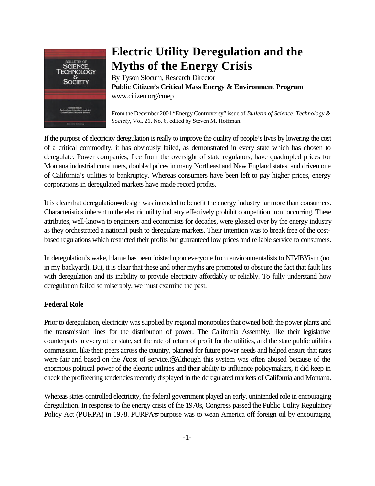

# **Electric Utility Deregulation and the Myths of the Energy Crisis**

By Tyson Slocum, Research Director **Public Citizen's Critical Mass Energy & Environment Program** www.citizen.org/cmep

From the December 2001 "Energy Controversy" issue of *Bulletin of Science, Technology & Society*, Vol. 21, No. 6, edited by Steven M. Hoffman.

If the purpose of electricity deregulation is really to improve the quality of people's lives by lowering the cost of a critical commodity, it has obviously failed, as demonstrated in every state which has chosen to deregulate. Power companies, free from the oversight of state regulators, have quadrupled prices for Montana industrial consumers, doubled prices in many Northeast and New England states, and driven one of California's utilities to bankruptcy. Whereas consumers have been left to pay higher prices, energy corporations in deregulated markets have made record profits.

It is clear that deregulations design was intended to benefit the energy industry far more than consumers. Characteristics inherent to the electric utility industry effectively prohibit competition from occurring. These attributes, well-known to engineers and economists for decades, were glossed over by the energy industry as they orchestrated a national push to deregulate markets. Their intention was to break free of the costbased regulations which restricted their profits but guaranteed low prices and reliable service to consumers.

In deregulation's wake, blame has been foisted upon everyone from environmentalists to NIMBYism (not in my backyard). But, it is clear that these and other myths are promoted to obscure the fact that fault lies with deregulation and its inability to provide electricity affordably or reliably. To fully understand how deregulation failed so miserably, we must examine the past.

# **Federal Role**

Prior to deregulation, electricity was supplied by regional monopolies that owned both the power plants and the transmission lines for the distribution of power. The California Assembly, like their legislative counterparts in every other state, set the rate of return of profit for the utilities, and the state public utilities commission, like their peers across the country, planned for future power needs and helped ensure that rates were fair and based on the Acost of service.@ Although this system was often abused because of the enormous political power of the electric utilities and their ability to influence policymakers, it did keep in check the profiteering tendencies recently displayed in the deregulated markets of California and Montana.

Whereas states controlled electricity, the federal government played an early, unintended role in encouraging deregulation. In response to the energy crisis of the 1970s, Congress passed the Public Utility Regulatory Policy Act (PURPA) in 1978. PURPA=s purpose was to wean America off foreign oil by encouraging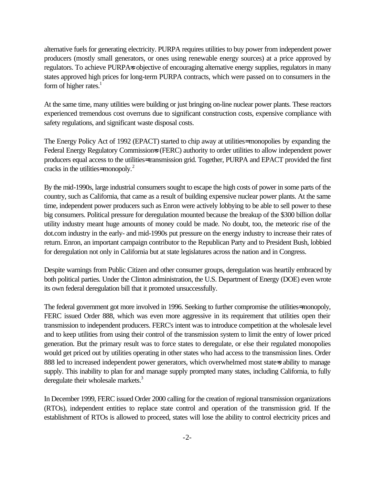alternative fuels for generating electricity. PURPA requires utilities to buy power from independent power producers (mostly small generators, or ones using renewable energy sources) at a price approved by regulators. To achieve PURPA=s objective of encouraging alternative energy supplies, regulators in many states approved high prices for long-term PURPA contracts, which were passed on to consumers in the form of higher rates. $<sup>1</sup>$ </sup>

At the same time, many utilities were building or just bringing on-line nuclear power plants. These reactors experienced tremendous cost overruns due to significant construction costs, expensive compliance with safety regulations, and significant waste disposal costs.

The Energy Policy Act of 1992 (EPACT) started to chip away at utilities= monopolies by expanding the Federal Energy Regulatory Commissions (FERC) authority to order utilities to allow independent power producers equal access to the utilities= transmission grid. Together, PURPA and EPACT provided the first cracks in the utilities=monopoly.<sup>2</sup>

By the mid-1990s, large industrial consumers sought to escape the high costs of power in some parts of the country, such as California, that came as a result of building expensive nuclear power plants. At the same time, independent power producers such as Enron were actively lobbying to be able to sell power to these big consumers. Political pressure for deregulation mounted because the breakup of the \$300 billion dollar utility industry meant huge amounts of money could be made. No doubt, too, the meteoric rise of the dot.com industry in the early- and mid-1990s put pressure on the energy industry to increase their rates of return. Enron, an important campaign contributor to the Republican Party and to President Bush, lobbied for deregulation not only in California but at state legislatures across the nation and in Congress.

Despite warnings from Public Citizen and other consumer groups, deregulation was heartily embraced by both political parties. Under the Clinton administration, the U.S. Department of Energy (DOE) even wrote its own federal deregulation bill that it promoted unsuccessfully.

The federal government got more involved in 1996. Seeking to further compromise the utilities= monopoly, FERC issued Order 888, which was even more aggressive in its requirement that utilities open their transmission to independent producers. FERC's intent was to introduce competition at the wholesale level and to keep utilities from using their control of the transmission system to limit the entry of lower priced generation. But the primary result was to force states to deregulate, or else their regulated monopolies would get priced out by utilities operating in other states who had access to the transmission lines. Order 888 led to increased independent power generators, which overwhelmed most state-s ability to manage supply. This inability to plan for and manage supply prompted many states, including California, to fully deregulate their wholesale markets.<sup>3</sup>

In December 1999, FERC issued Order 2000 calling for the creation of regional transmission organizations (RTOs), independent entities to replace state control and operation of the transmission grid. If the establishment of RTOs is allowed to proceed, states will lose the ability to control electricity prices and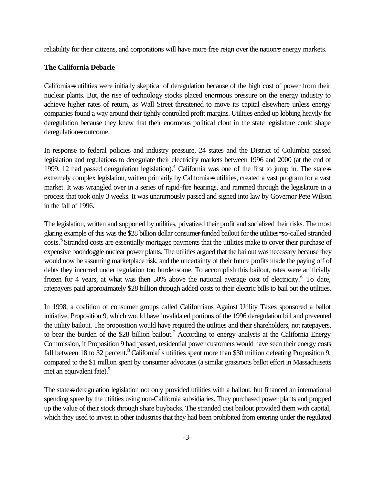reliability for their citizens, and corporations will have more free reign over the nations energy markets.

### **The California Debacle**

California=s utilities were initially skeptical of deregulation because of the high cost of power from their nuclear plants. But, the rise of technology stocks placed enormous pressure on the energy industry to achieve higher rates of return, as Wall Street threatened to move its capital elsewhere unless energy companies found a way around their tightly controlled profit margins. Utilities ended up lobbing heavily for deregulation because they knew that their enormous political clout in the state legislature could shape deregulation=s outcome.

In response to federal policies and industry pressure, 24 states and the District of Columbia passed legislation and regulations to deregulate their electricity markets between 1996 and 2000 (at the end of 1999, 12 had passed deregulation legislation).<sup>4</sup> California was one of the first to jump in. The state-s extremely complex legislation, written primarily by California=s utilities, created a vast program for a vast market. It was wrangled over in a series of rapid-fire hearings, and rammed through the legislature in a process that took only 3 weeks. It was unanimously passed and signed into law by Governor Pete Wilson in the fall of 1996.

The legislation, written and supported by utilities, privatized their profit and socialized their risks. The most glaring example of this was the \$28 billion dollar consumer-funded bailout for the utilities= so-called stranded costs.<sup>5</sup> Stranded costs are essentially mortgage payments that the utilities make to cover their purchase of expensive boondoggle nuclear power plants. The utilities argued that the bailout was necessary because they would now be assuming marketplace risk, and the uncertainty of their future profits made the paying off of debts they incurred under regulation too burdensome. To accomplish this bailout, rates were artificially frozen for 4 years, at what was then 50% above the national average cost of electricity.<sup>6</sup> To date, ratepayers paid approximately \$28 billion through added costs to their electric bills to bail out the utilities.

In 1998, a coalition of consumer groups called Californians Against Utility Taxes sponsored a ballot initiative, Proposition 9, which would have invalidated portions of the 1996 deregulation bill and prevented the utility bailout. The proposition would have required the utilities and their shareholders, not ratepayers, to bear the burden of the \$28 billion bailout.<sup>7</sup> According to energy analysts at the California Energy Commission, if Proposition 9 had passed, residential power customers would have seen their energy costs fall between 18 to 32 percent.<sup>8</sup> California's utilities spent more than \$30 million defeating Proposition 9, compared to the \$1 million spent by consumer advocates (a similar grassroots ballot effort in Massachusetts met an equivalent fate).<sup>9</sup>

The state=s deregulation legislation not only provided utilities with a bailout, but financed an international spending spree by the utilities using non-California subsidiaries. They purchased power plants and propped up the value of their stock through share buybacks. The stranded cost bailout provided them with capital, which they used to invest in other industries that they had been prohibited from entering under the regulated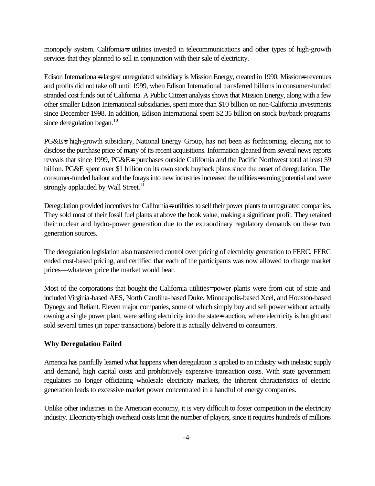monopoly system. California=s utilities invested in telecommunications and other types of high-growth services that they planned to sell in conjunction with their sale of electricity.

Edison International is largest unregulated subsidiary is Mission Energy, created in 1990. Missions revenues and profits did not take off until 1999, when Edison International transferred billions in consumer-funded stranded cost funds out of California. A Public Citizen analysis shows that Mission Energy, along with a few other smaller Edison International subsidiaries, spent more than \$10 billion on non-California investments since December 1998. In addition, Edison International spent \$2.35 billion on stock buyback programs since deregulation began. $10$ 

PG&E=s high-growth subsidiary, National Energy Group, has not been as forthcoming, electing not to disclose the purchase price of many of its recent acquisitions. Information gleaned from several news reports reveals that since 1999, PG&E=s purchases outside California and the Pacific Northwest total at least \$9 billion. PG&E spent over \$1 billion on its own stock buyback plans since the onset of deregulation. The consumer-funded bailout and the forays into new industries increased the utilities= earning potential and were strongly applauded by Wall Street. $^{11}$ 

Deregulation provided incentives for California=s utilities to sell their power plants to unregulated companies. They sold most of their fossil fuel plants at above the book value, making a significant profit. They retained their nuclear and hydro-power generation due to the extraordinary regulatory demands on these two generation sources.

The deregulation legislation also transferred control over pricing of electricity generation to FERC. FERC ended cost-based pricing, and certified that each of the participants was now allowed to charge market prices—whatever price the market would bear.

Most of the corporations that bought the California utilities= power plants were from out of state and included Virginia-based AES, North Carolina-based Duke, Minneapolis-based Xcel, and Houston-based Dynegy and Reliant. Eleven major companies, some of which simply buy and sell power without actually owning a single power plant, were selling electricity into the state=s auction, where electricity is bought and sold several times (in paper transactions) before it is actually delivered to consumers.

#### **Why Deregulation Failed**

America has painfully learned what happens when deregulation is applied to an industry with inelastic supply and demand, high capital costs and prohibitively expensive transaction costs. With state government regulators no longer officiating wholesale electricity markets, the inherent characteristics of electric generation leads to excessive market power concentrated in a handful of energy companies.

Unlike other industries in the American economy, it is very difficult to foster competition in the electricity industry. Electricity is high overhead costs limit the number of players, since it requires hundreds of millions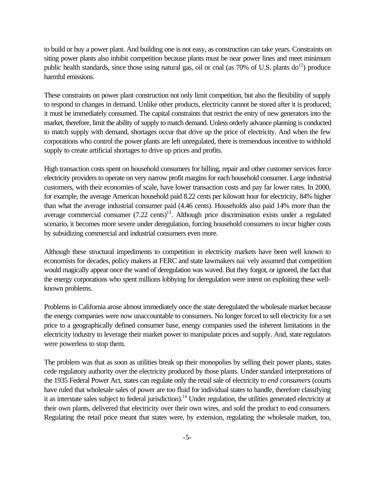to build or buy a power plant. And building one is not easy, as construction can take years. Constraints on siting power plants also inhibit competition because plants must be near power lines and meet minimum public health standards, since those using natural gas, oil or coal (as  $70\%$  of U.S. plants do<sup>12</sup>) produce harmful emissions.

These constraints on power plant construction not only limit competition, but also the flexibility of supply to respond to changes in demand. Unlike other products, electricity cannot be stored after it is produced; it must be immediately consumed. The capital constraints that restrict the entry of new generators into the market, therefore, limit the ability of supply to match demand. Unless orderly advance planning is conducted to match supply with demand, shortages occur that drive up the price of electricity. And when the few corporations who control the power plants are left unregulated, there is tremendous incentive to withhold supply to create artificial shortages to drive up prices and profits.

High transaction costs spent on household consumers for billing, repair and other customer services force electricity providers to operate on very narrow profit margins for each household consumer. Large industrial customers, with their economies of scale, have lower transaction costs and pay far lower rates. In 2000, for example, the average American household paid 8.22 cents per kilowatt hour for electricity, 84% higher than what the average industrial consumer paid (4.46 cents). Households also paid 14% more than the average commercial consumer  $(7.22 \text{ cents})^{13}$ . Although price discrimination exists under a regulated scenario, it becomes more severe under deregulation, forcing household consumers to incur higher costs by subsidizing commercial and industrial consumers even more.

Although these structural impediments to competition in electricity markets have been well known to economists for decades, policy makers at FERC and state lawmakers naïvely assumed that competition would magically appear once the wand of deregulation was waved. But they forgot, or ignored, the fact that the energy corporations who spent millions lobbying for deregulation were intent on exploiting these wellknown problems.

Problems in California arose almost immediately once the state deregulated the wholesale market because the energy companies were now unaccountable to consumers. No longer forced to sell electricity for a set price to a geographically defined consumer base, energy companies used the inherent limitations in the electricity industry to leverage their market power to manipulate prices and supply. And, state regulators were powerless to stop them.

The problem was that as soon as utilities break up their monopolies by selling their power plants, states cede regulatory authority over the electricity produced by those plants. Under standard interpretations of the 1935 Federal Power Act, states can regulate only the retail sale of electricity to *end consumers* (courts have ruled that wholesale sales of power are too fluid for individual states to handle, therefore classifying it as interstate sales subject to federal jurisdiction).<sup>14</sup> Under regulation, the utilities generated electricity at their own plants, delivered that electricity over their own wires, and sold the product to end consumers. Regulating the retail price meant that states were, by extension, regulating the wholesale market, too,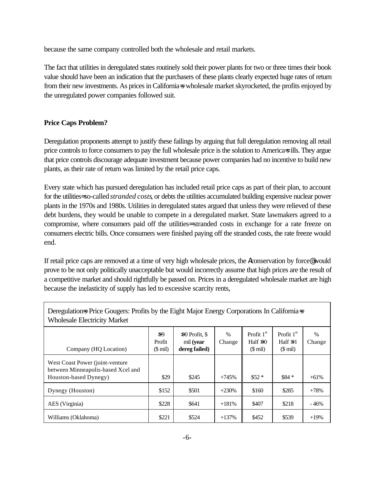because the same company controlled both the wholesale and retail markets.

The fact that utilities in deregulated states routinely sold their power plants for two or three times their book value should have been an indication that the purchasers of these plants clearly expected huge rates of return from their new investments. As prices in California=s wholesale market skyrocketed, the profits enjoyed by the unregulated power companies followed suit.

### **Price Caps Problem?**

Deregulation proponents attempt to justify these failings by arguing that full deregulation removing all retail price controls to force consumers to pay the full wholesale price is the solution to America=s ills. They argue that price controls discourage adequate investment because power companies had no incentive to build new plants, as their rate of return was limited by the retail price caps.

Every state which has pursued deregulation has included retail price caps as part of their plan, to account for the utilities= so-called *stranded costs*, or debts the utilities accumulated building expensive nuclear power plants in the 1970s and 1980s. Utilities in deregulated states argued that unless they were relieved of these debt burdens, they would be unable to compete in a deregulated market. State lawmakers agreed to a compromise, where consumers paid off the utilities= stranded costs in exchange for a rate freeze on consumers electric bills. Once consumers were finished paying off the stranded costs, the rate freeze would end.

If retail price caps are removed at a time of very high wholesale prices, the Aconservation by force@ would prove to be not only politically unacceptable but would incorrectly assume that high prices are the result of a competitive market and should rightfully be passed on. Prices in a deregulated wholesale market are high because the inelasticity of supply has led to excessive scarcity rents,

| <b>Wholesale Electricity Market</b>                                                             |                           |                                                       |                         |                                                        |                                              |                |  |  |  |
|-------------------------------------------------------------------------------------------------|---------------------------|-------------------------------------------------------|-------------------------|--------------------------------------------------------|----------------------------------------------|----------------|--|--|--|
| Company (HQ Location)                                                                           | -99<br>Profit<br>$$$ mil) | $\lambda$ 00 Profit, \$<br>mil (vear<br>dereg failed) | $\frac{0}{0}$<br>Change | Profit $1st$<br>Half $\lambda$ 00<br>$(S \text{ mil})$ | Profit $1st$<br>$Half \times 01$<br>$$$ mil) | $\%$<br>Change |  |  |  |
| West Coast Power (joint-venture)<br>between Minneapolis-based Xcel and<br>Houston-based Dynegy) | \$29                      | \$245                                                 | $+745%$                 | $$52*$                                                 | $$84*$                                       | $+61%$         |  |  |  |
| Dynegy (Houston)                                                                                | \$152                     | \$501                                                 | $+230%$                 | \$160                                                  | \$285                                        | $+78%$         |  |  |  |
| AES (Virginia)                                                                                  | \$228                     | \$641                                                 | $+181%$                 | \$407                                                  | \$218                                        | $-46%$         |  |  |  |
| Williams (Oklahoma)                                                                             | \$221                     | \$524                                                 | $+137%$                 | \$452                                                  | \$539                                        | $+19%$         |  |  |  |

Deregulations Price Gougers: Profits by the Eight Major Energy Corporations In California-s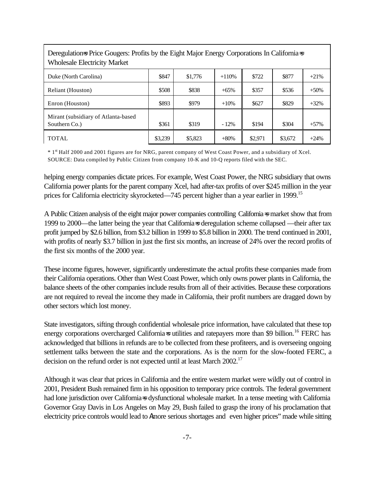| <b>Wholesale Electricity Market</b>                   |         |         |         |         |         |         |
|-------------------------------------------------------|---------|---------|---------|---------|---------|---------|
| Duke (North Carolina)                                 | \$847   | \$1,776 | $+110%$ | \$722   | \$877   | $+21%$  |
| Reliant (Houston)                                     | \$508   | \$838   | $+65%$  | \$357   | \$536   | $+50%$  |
| Enron (Houston)                                       | \$893   | \$979   | $+10%$  | \$627   | \$829   | $+32\%$ |
| Mirant (subsidiary of Atlanta-based)<br>Southern Co.) | \$361   | \$319   | $-12\%$ | \$194   | \$304   | $+57%$  |
| <b>TOTAL</b>                                          | \$3,239 | \$5,823 | $+80%$  | \$2,971 | \$3,672 | $+24%$  |

Deregulations Price Gougers: Profits by the Eight Major Energy Corporations In California-s

\* 1st Half 2000 and 2001 figures are for NRG, parent company of West Coast Power, and a subsidiary of Xcel. SOURCE: Data compiled by Public Citizen from company 10-K and 10-Q reports filed with the SEC.

helping energy companies dictate prices. For example, West Coast Power, the NRG subsidiary that owns California power plants for the parent company Xcel, had after-tax profits of over \$245 million in the year prices for California electricity skyrocketed—745 percent higher than a year earlier in 1999.<sup>15</sup>

A Public Citizen analysis of the eight major power companies controlling California=s market show that from 1999 to 2000—the latter being the year that California=s deregulation scheme collapsed —their after tax profit jumped by \$2.6 billion, from \$3.2 billion in 1999 to \$5.8 billion in 2000. The trend continued in 2001, with profits of nearly \$3.7 billion in just the first six months, an increase of 24% over the record profits of the first six months of the 2000 year.

These income figures, however, significantly underestimate the actual profits these companies made from their California operations. Other than West Coast Power, which only owns power plants in California, the balance sheets of the other companies include results from all of their activities. Because these corporations are not required to reveal the income they made in California, their profit numbers are dragged down by other sectors which lost money.

State investigators, sifting through confidential wholesale price information, have calculated that these top energy corporations overcharged California=s utilities and ratepayers more than \$9 billion.<sup>16</sup> FERC has acknowledged that billions in refunds are to be collected from these profiteers, and is overseeing ongoing settlement talks between the state and the corporations. As is the norm for the slow-footed FERC, a decision on the refund order is not expected until at least March 2002.<sup>17</sup>

Although it was clear that prices in California and the entire western market were wildly out of control in 2001, President Bush remained firm in his opposition to temporary price controls. The federal government had lone jurisdiction over California=s dysfunctional wholesale market. In a tense meeting with California Governor Gray Davis in Los Angeles on May 29, Bush failed to grasp the irony of his proclamation that electricity price controls would lead to Amore serious shortages and even higher prices" made while sitting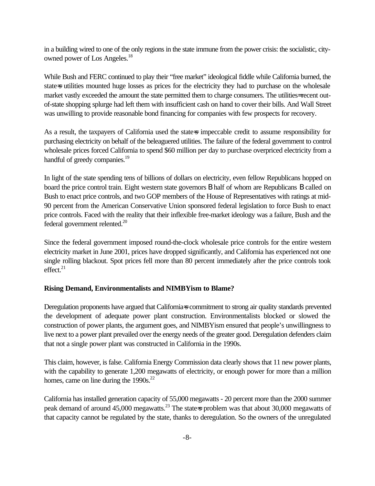in a building wired to one of the only regions in the state immune from the power crisis: the socialistic, cityowned power of Los Angeles.<sup>18</sup>

While Bush and FERC continued to play their "free market" ideological fiddle while California burned, the state=s utilities mounted huge losses as prices for the electricity they had to purchase on the wholesale market vastly exceeded the amount the state permitted them to charge consumers. The utilities= recent outof-state shopping splurge had left them with insufficient cash on hand to cover their bills. And Wall Street was unwilling to provide reasonable bond financing for companies with few prospects for recovery.

As a result, the taxpayers of California used the state-s impeccable credit to assume responsibility for purchasing electricity on behalf of the beleaguered utilities. The failure of the federal government to control wholesale prices forced California to spend \$60 million per day to purchase overpriced electricity from a handful of greedy companies.<sup>19</sup>

In light of the state spending tens of billions of dollars on electricity, even fellow Republicans hopped on board the price control train. Eight western state governors B half of whom are Republicans B called on Bush to enact price controls, and two GOP members of the House of Representatives with ratings at mid-90 percent from the American Conservative Union sponsored federal legislation to force Bush to enact price controls. Faced with the reality that their inflexible free-market ideology was a failure, Bush and the federal government relented.<sup>20</sup>

Since the federal government imposed round-the-clock wholesale price controls for the entire western electricity market in June 2001, prices have dropped significantly, and California has experienced not one single rolling blackout. Spot prices fell more than 80 percent immediately after the price controls took  $effect.<sup>21</sup>$ 

# **Rising Demand, Environmentalists and NIMBYism to Blame?**

Deregulation proponents have argued that California=s commitment to strong air quality standards prevented the development of adequate power plant construction. Environmentalists blocked or slowed the construction of power plants, the argument goes, and NIMBYism ensured that people's unwillingness to live next to a power plant prevailed over the energy needs of the greater good. Deregulation defenders claim that not a single power plant was constructed in California in the 1990s.

This claim, however, is false. California Energy Commission data clearly shows that 11 new power plants, with the capability to generate 1,200 megawatts of electricity, or enough power for more than a million homes, came on line during the  $1990s.<sup>22</sup>$ 

California has installed generation capacity of 55,000 megawatts - 20 percent more than the 2000 summer peak demand of around 45,000 megawatts.<sup>23</sup> The state=s problem was that about 30,000 megawatts of that capacity cannot be regulated by the state, thanks to deregulation. So the owners of the unregulated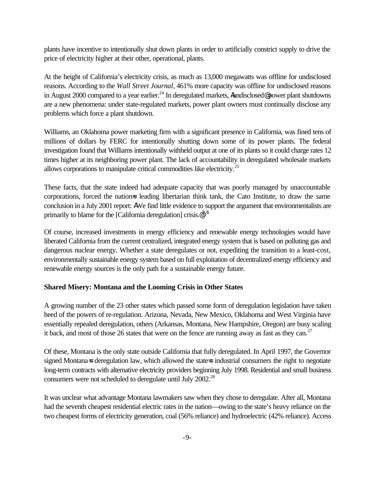plants have incentive to intentionally shut down plants in order to artificially constrict supply to drive the price of electricity higher at their other, operational, plants.

At the height of California's electricity crisis, as much as 13,000 megawatts was offline for undisclosed reasons. According to the *Wall Street Journal*, 461% more capacity was offline for undisclosed reasons in August 2000 compared to a year earlier.<sup>24</sup> In deregulated markets, Aundisclosed@ power plant shutdowns are a new phenomena: under state-regulated markets, power plant owners must continually disclose any problems which force a plant shutdown.

Williams, an Oklahoma power marketing firm with a significant presence in California, was fined tens of millions of dollars by FERC for intentionally shutting down some of its power plants. The federal investigation found that Williams intentionally withheld output at one of its plants so it could charge rates 12 times higher at its neighboring power plant. The lack of accountability in deregulated wholesale markets allows corporations to manipulate critical commodities like electricity.<sup>25</sup>

These facts, that the state indeed had adequate capacity that was poorly managed by unaccountable corporations, forced the nations leading libertarian think tank, the Cato Institute, to draw the same conclusion in a July 2001 report: AWe find little evidence to support the argument that environmentalists are primarily to blame for the [California deregulation] crisis.<sup>@26</sup>

Of course, increased investments in energy efficiency and renewable energy technologies would have liberated California from the current centralized, integrated energy system that is based on polluting gas and dangerous nuclear energy. Whether a state deregulates or not, expediting the transition to a least-cost, environmentally sustainable energy system based on full exploitation of decentralized energy efficiency and renewable energy sources is the only path for a sustainable energy future.

# **Shared Misery: Montana and the Looming Crisis in Other States**

A growing number of the 23 other states which passed some form of deregulation legislation have taken heed of the powers of re-regulation. Arizona, Nevada, New Mexico, Oklahoma and West Virginia have essentially repealed deregulation, others (Arkansas, Montana, New Hampshire, Oregon) are busy scaling it back, and most of those 26 states that were on the fence are running away as fast as they can.<sup>27</sup>

Of these, Montana is the only state outside California that fully deregulated. In April 1997, the Governor signed Montana=s deregulation law, which allowed the state=s industrial consumers the right to negotiate long-term contracts with alternative electricity providers beginning July 1998. Residential and small business consumers were not scheduled to deregulate until July 2002.<sup>28</sup>

It was unclear what advantage Montana lawmakers saw when they chose to deregulate. After all, Montana had the seventh cheapest residential electric rates in the nation—owing to the state's heavy reliance on the two cheapest forms of electricity generation, coal (56% reliance) and hydroelectric (42% reliance). Access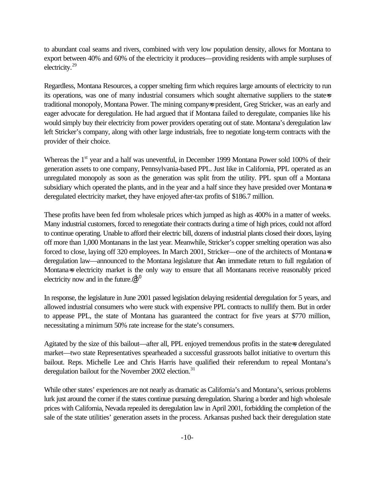to abundant coal seams and rivers, combined with very low population density, allows for Montana to export between 40% and 60% of the electricity it produces—providing residents with ample surpluses of electricity.<sup>29</sup>

Regardless, Montana Resources, a copper smelting firm which requires large amounts of electricity to run its operations, was one of many industrial consumers which sought alternative suppliers to the state-s traditional monopoly, Montana Power. The mining company=s president, Greg Stricker, was an early and eager advocate for deregulation. He had argued that if Montana failed to deregulate, companies like his would simply buy their electricity from power providers operating out of state. Montana's deregulation law left Stricker's company, along with other large industrials, free to negotiate long-term contracts with the provider of their choice.

Whereas the  $1<sup>st</sup>$  year and a half was uneventful, in December 1999 Montana Power sold 100% of their generation assets to one company, Pennsylvania-based PPL. Just like in California, PPL operated as an unregulated monopoly as soon as the generation was split from the utility. PPL spun off a Montana subsidiary which operated the plants, and in the year and a half since they have presided over Montana=s deregulated electricity market, they have enjoyed after-tax profits of \$186.7 million.

These profits have been fed from wholesale prices which jumped as high as 400% in a matter of weeks. Many industrial customers, forced to renegotiate their contracts during a time of high prices, could not afford to continue operating. Unable to afford their electric bill, dozens of industrial plants closed their doors, laying off more than 1,000 Montanans in the last year. Meanwhile, Stricker's copper smelting operation was also forced to close, laying off 320 employees. In March 2001, Stricker—one of the architects of Montana=s deregulation law—announced to the Montana legislature that Aan immediate return to full regulation of Montana=s electricity market is the only way to ensure that all Montanans receive reasonably priced electricity now and in the future. $e^{30}$ 

In response, the legislature in June 2001 passed legislation delaying residential deregulation for 5 years, and allowed industrial consumers who were stuck with expensive PPL contracts to nullify them. But in order to appease PPL, the state of Montana has guaranteed the contract for five years at \$770 million, necessitating a minimum 50% rate increase for the state's consumers.

Agitated by the size of this bailout—after all, PPL enjoyed tremendous profits in the state=s deregulated market—two state Representatives spearheaded a successful grassroots ballot initiative to overturn this bailout. Reps. Michelle Lee and Chris Harris have qualified their referendum to repeal Montana's deregulation bailout for the November 2002 election.<sup>31</sup>

While other states' experiences are not nearly as dramatic as California's and Montana's, serious problems lurk just around the corner if the states continue pursuing deregulation. Sharing a border and high wholesale prices with California, Nevada repealed its deregulation law in April 2001, forbidding the completion of the sale of the state utilities' generation assets in the process. Arkansas pushed back their deregulation state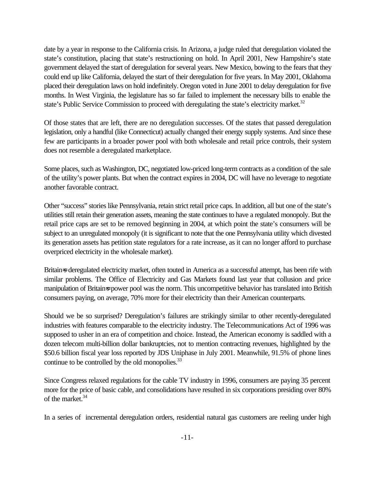date by a year in response to the California crisis. In Arizona, a judge ruled that deregulation violated the state's constitution, placing that state's restructioning on hold. In April 2001, New Hampshire's state government delayed the start of deregulation for several years. New Mexico, bowing to the fears that they could end up like California, delayed the start of their deregulation for five years. In May 2001, Oklahoma placed their deregulation laws on hold indefinitely. Oregon voted in June 2001 to delay deregulation for five months. In West Virginia, the legislature has so far failed to implement the necessary bills to enable the state's Public Service Commission to proceed with deregulating the state's electricity market. $32$ 

Of those states that are left, there are no deregulation successes. Of the states that passed deregulation legislation, only a handful (like Connecticut) actually changed their energy supply systems. And since these few are participants in a broader power pool with both wholesale and retail price controls, their system does not resemble a deregulated marketplace.

Some places, such as Washington, DC, negotiated low-priced long-term contracts as a condition of the sale of the utility's power plants. But when the contract expires in 2004, DC will have no leverage to negotiate another favorable contract.

Other "success" stories like Pennsylvania, retain strict retail price caps. In addition, all but one of the state's utilities still retain their generation assets, meaning the state continues to have a regulated monopoly. But the retail price caps are set to be removed beginning in 2004, at which point the state's consumers will be subject to an unregulated monopoly (it is significant to note that the one Pennsylvania utility which divested its generation assets has petition state regulators for a rate increase, as it can no longer afford to purchase overpriced electricity in the wholesale market).

Britain=s deregulated electricity market, often touted in America as a successful attempt, has been rife with similar problems. The Office of Electricity and Gas Markets found last year that collusion and price manipulation of Britain=s power pool was the norm. This uncompetitive behavior has translated into British consumers paying, on average, 70% more for their electricity than their American counterparts.

Should we be so surprised? Deregulation's failures are strikingly similar to other recently-deregulated industries with features comparable to the electricity industry. The Telecommunications Act of 1996 was supposed to usher in an era of competition and choice. Instead, the American economy is saddled with a dozen telecom multi-billion dollar bankruptcies, not to mention contracting revenues, highlighted by the \$50.6 billion fiscal year loss reported by JDS Uniphase in July 2001. Meanwhile, 91.5% of phone lines continue to be controlled by the old monopolies.<sup>33</sup>

Since Congress relaxed regulations for the cable TV industry in 1996, consumers are paying 35 percent more for the price of basic cable, and consolidations have resulted in six corporations presiding over 80% of the market.<sup>34</sup>

In a series of incremental deregulation orders, residential natural gas customers are reeling under high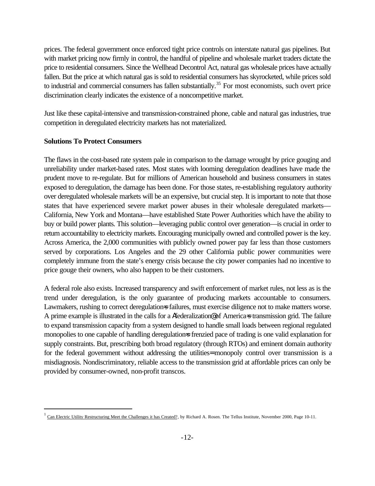prices. The federal government once enforced tight price controls on interstate natural gas pipelines. But with market pricing now firmly in control, the handful of pipeline and wholesale market traders dictate the price to residential consumers. Since the Wellhead Decontrol Act, natural gas wholesale prices have actually fallen. But the price at which natural gas is sold to residential consumers has skyrocketed, while prices sold to industrial and commercial consumers has fallen substantially.<sup>35</sup> For most economists, such overt price discrimination clearly indicates the existence of a noncompetitive market.

Just like these capital-intensive and transmission-constrained phone, cable and natural gas industries, true competition in deregulated electricity markets has not materialized.

### **Solutions To Protect Consumers**

 $\overline{a}$ 

The flaws in the cost-based rate system pale in comparison to the damage wrought by price gouging and unreliability under market-based rates. Most states with looming deregulation deadlines have made the prudent move to re-regulate. But for millions of American household and business consumers in states exposed to deregulation, the damage has been done. For those states, re-establishing regulatory authority over deregulated wholesale markets will be an expensive, but crucial step. It is important to note that those states that have experienced severe market power abuses in their wholesale deregulated markets— California, New York and Montana—have established State Power Authorities which have the ability to buy or build power plants. This solution—leveraging public control over generation—is crucial in order to return accountability to electricity markets. Encouraging municipally owned and controlled power is the key. Across America, the 2,000 communities with publicly owned power pay far less than those customers served by corporations. Los Angeles and the 29 other California public power communities were completely immune from the state's energy crisis because the city power companies had no incentive to price gouge their owners, who also happen to be their customers.

A federal role also exists. Increased transparency and swift enforcement of market rules, not less as is the trend under deregulation, is the only guarantee of producing markets accountable to consumers. Lawmakers, rushing to correct deregulation is failures, must exercise diligence not to make matters worse. A prime example is illustrated in the calls for a Afederalization<sup>®</sup> of America=s transmission grid. The failure to expand transmission capacity from a system designed to handle small loads between regional regulated monopolies to one capable of handling deregulation=s frenzied pace of trading is one valid explanation for supply constraints. But, prescribing both broad regulatory (through RTOs) and eminent domain authority for the federal government without addressing the utilities= monopoly control over transmission is a misdiagnosis. Nondiscriminatory, reliable access to the transmission grid at affordable prices can only be provided by consumer-owned, non-profit transcos.

 $1$  Can Electric Utility Restructuring Meet the Challenges it has Created?, by Richard A. Rosen. The Tellus Institute, November 2000, Page 10-11.